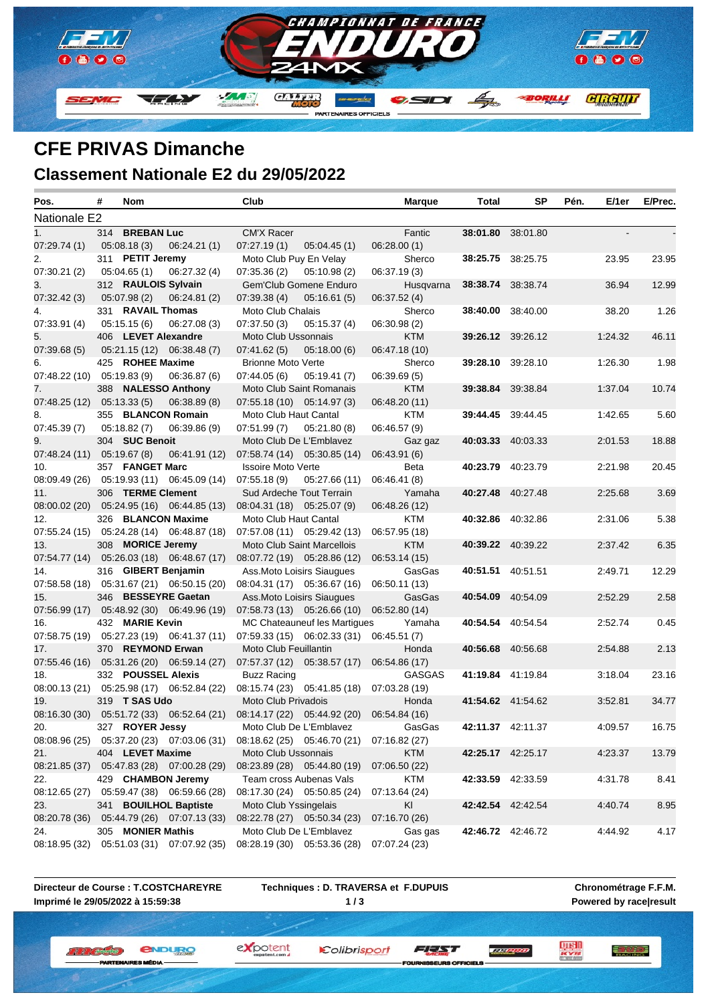

## **CFE PRIVAS Dimanche Classement Nationale E2 du 29/05/2022**

| Pos.                         | # | Nom                |                                                                | Club                      |                                           | <b>Marque</b>                                  | Total | <b>SP</b>                | Pén. | E/1er   | E/Prec. |
|------------------------------|---|--------------------|----------------------------------------------------------------|---------------------------|-------------------------------------------|------------------------------------------------|-------|--------------------------|------|---------|---------|
| Nationale E2                 |   |                    |                                                                |                           |                                           |                                                |       |                          |      |         |         |
| 1 <sub>1</sub>               |   | 314 BREBAN Luc     |                                                                | CM'X Racer                |                                           | Fantic                                         |       | 38:01.80 38:01.80        |      |         |         |
| 07:29.74 (1)                 |   | 05:08.18(3)        | 06:24.21(1)                                                    | 07:27.19(1)               | 05:04.45(1)                               | 06:28.00(1)                                    |       |                          |      |         |         |
| 2.                           |   | 311 PETIT Jeremy   |                                                                | Moto Club Puy En Velay    |                                           | Sherco                                         |       | 38:25.75 38:25.75        |      | 23.95   | 23.95   |
| 07:30.21(2)                  |   | 05:04.65(1)        | 06:27.32(4)                                                    | 07:35.36(2)               | 05:10.98(2)                               | 06:37.19(3)                                    |       |                          |      |         |         |
| 3.                           |   |                    | 312 RAULOIS Sylvain                                            |                           | Gem'Club Gomene Enduro                    | Husqvarna                                      |       | 38:38.74 38:38.74        |      | 36.94   | 12.99   |
| 07:32.42 (3)                 |   | 05:07.98 (2)       | 06:24.81(2)                                                    | 07:39.38(4)               | 05:16.61(5)                               | 06:37.52 (4)                                   |       |                          |      |         |         |
| 4.                           |   | 331 RAVAIL Thomas  |                                                                | Moto Club Chalais         |                                           | Sherco                                         |       | <b>38:40.00</b> 38:40.00 |      | 38.20   | 1.26    |
| 07:33.91(4)                  |   | 05:15.15(6)        | 06:27.08(3)                                                    | 07:37.50(3)               | 05:15.37(4)                               | 06:30.98 (2)                                   |       |                          |      |         |         |
| 5.                           |   |                    | 406 LEVET Alexandre                                            | Moto Club Ussonnais       |                                           | <b>KTM</b>                                     |       | <b>39:26.12</b> 39:26.12 |      | 1:24.32 | 46.11   |
| 07:39.68(5)                  |   |                    | 05:21.15 (12) 06:38.48 (7)                                     | 07:41.62(5)               | 05:18.00(6)                               | 06:47.18 (10)                                  |       |                          |      |         |         |
| 6.                           |   | 425 ROHEE Maxime   |                                                                | <b>Brionne Moto Verte</b> |                                           | Sherco                                         |       | 39:28.10 39:28.10        |      | 1:26.30 | 1.98    |
| $07:48.22(10)$ $05:19.83(9)$ |   |                    | 06:36.87(6)                                                    | 07:44.05(6)               | 05:19.41(7)                               | 06:39.69(5)                                    |       |                          |      |         |         |
| 7.                           |   |                    | 388 NALESSO Anthony                                            |                           | Moto Club Saint Romanais                  | <b>KTM</b>                                     |       | <b>39:38.84</b> 39:38.84 |      | 1:37.04 | 10.74   |
| 07:48.25 (12) 05:13.33 (5)   |   |                    | 06:38.89 (8)                                                   |                           | 07:55.18 (10) 05:14.97 (3)                | 06:48.20 (11)                                  |       |                          |      |         |         |
| 8.                           |   |                    | 355 BLANCON Romain                                             | Moto Club Haut Cantal     |                                           | KTM                                            |       | 39:44.45 39:44.45        |      | 1:42.65 | 5.60    |
| 07:45.39(7)                  |   | 05:18.82 (7)       | 06:39.86(9)                                                    | 07:51.99 (7)              | 05:21.80(8)                               | 06:46.57 (9)                                   |       |                          |      |         |         |
| 9.                           |   | 304 SUC Benoit     |                                                                |                           | Moto Club De L'Emblavez                   | Gaz gaz                                        |       | 40:03.33 40:03.33        |      | 2:01.53 | 18.88   |
| 07:48.24 (11)                |   | 05:19.67 (8)       | 06:41.91 (12)                                                  |                           | 07:58.74 (14) 05:30.85 (14)               | 06:43.91 (6)                                   |       |                          |      |         |         |
| 10.                          |   | 357 FANGET Marc    |                                                                | <b>Issoire Moto Verte</b> |                                           | Beta                                           |       | 40:23.79 40:23.79        |      | 2:21.98 | 20.45   |
|                              |   |                    | 08:09.49 (26) 05:19.93 (11) 06:45.09 (14)                      |                           | $07:55.18(9)$ $05:27.66(11)$              | 06:46.41 (8)                                   |       |                          |      |         |         |
| 11.                          |   | 306 TERME Clement  |                                                                |                           | Sud Ardeche Tout Terrain                  | Yamaha                                         |       | 40:27.48 40:27.48        |      | 2:25.68 | 3.69    |
|                              |   |                    | 08:00.02 (20) 05:24.95 (16) 06:44.85 (13)                      |                           | 08:04.31 (18) 05:25.07 (9)                | 06:48.26 (12)                                  |       |                          |      |         |         |
| 12.                          |   |                    | 326 BLANCON Maxime                                             | Moto Club Haut Cantal     |                                           | KTM                                            |       | 40:32.86 40:32.86        |      | 2:31.06 | 5.38    |
|                              |   |                    | 07:55.24 (15) 05:24.28 (14) 06:48.87 (18)                      |                           | $07:57.08(11)$ $05:29.42(13)$             | 06:57.95 (18)                                  |       |                          |      |         |         |
| 13.                          |   | 308 MORICE Jeremy  |                                                                |                           | Moto Club Saint Marcellois                | <b>KTM</b>                                     |       | 40:39.22 40:39.22        |      | 2:37.42 | 6.35    |
|                              |   |                    | 07:54.77 (14) 05:26.03 (18) 06:48.67 (17)                      |                           | 08:07.72 (19) 05:28.86 (12)               | 06:53.14 (15)                                  |       |                          |      |         |         |
| 14.                          |   |                    | 316 GIBERT Benjamin                                            |                           | Ass. Moto Loisirs Siaugues                | GasGas                                         |       | 40:51.51 40:51.51        |      | 2:49.71 | 12.29   |
|                              |   |                    | 07:58.58 (18) 05:31.67 (21) 06:50.15 (20)                      |                           | 08:04.31 (17) 05:36.67 (16)               | 06:50.11 (13)                                  |       |                          |      |         |         |
| 15.                          |   |                    | 346 BESSEYRE Gaetan                                            |                           | Ass. Moto Loisirs Siaugues                | GasGas                                         |       | 40:54.09 40:54.09        |      | 2:52.29 | 2.58    |
|                              |   |                    | 07:56.99 (17) 05:48.92 (30) 06:49.96 (19)                      |                           | 07:58.73 (13) 05:26.66 (10) 06:52.80 (14) |                                                |       |                          |      |         |         |
| 16.                          |   | 432 MARIE Kevin    |                                                                |                           | MC Chateauneuf les Martigues              | Yamaha                                         |       | 40:54.54 40:54.54        |      | 2:52.74 | 0.45    |
| 17.                          |   |                    | 07:58.75 (19) 05:27.23 (19) 06:41.37 (11)<br>370 REYMOND Erwan |                           | 07:59.33 (15) 06:02.33 (31)               | 06:45.51 (7)                                   |       | 40:56.68 40:56.68        |      |         | 2.13    |
|                              |   |                    | 07:55.46 (16) 05:31.26 (20) 06:59.14 (27)                      | Moto Club Feuillantin     | 07:57.37 (12) 05:38.57 (17)               | Honda<br>06:54.86 (17)                         |       |                          |      | 2:54.88 |         |
| 18.                          |   | 332 POUSSEL Alexis |                                                                | Buzz Racing               |                                           | <b>GASGAS</b>                                  |       | 41:19.84 41:19.84        |      | 3:18.04 | 23.16   |
|                              |   |                    | 08:00.13 (21) 05:25.98 (17) 06:52.84 (22)                      |                           | 08:15.74 (23) 05:41.85 (18) 07:03.28 (19) |                                                |       |                          |      |         |         |
| 19.                          |   | 319 T SAS Udo      |                                                                | Moto Club Privadois       |                                           | Honda                                          |       | 41:54.62 41:54.62        |      | 3:52.81 | 34.77   |
|                              |   |                    | 08:16.30 (30) 05:51.72 (33) 06:52.64 (21)                      |                           | 08:14.17 (22) 05:44.92 (20) 06:54.84 (16) |                                                |       |                          |      |         |         |
| 20.                          |   |                    |                                                                |                           |                                           | 327 ROYER Jessy Moto Club De L'Emblavez GasGas |       | 42:11.37 42:11.37        |      | 4:09.57 | 16.75   |
|                              |   |                    | 08:08.96 (25) 05:37.20 (23) 07:03.06 (31)                      |                           | 08:18.62 (25) 05:46.70 (21) 07:16.82 (27) |                                                |       |                          |      |         |         |
| 21.                          |   | 404 LEVET Maxime   |                                                                | Moto Club Ussonnais       |                                           | <b>KTM</b>                                     |       | 42:25.17 42:25.17        |      | 4:23.37 | 13.79   |
|                              |   |                    | 08:21.85 (37) 05:47.83 (28) 07:00.28 (29)                      |                           | 08:23.89 (28) 05:44.80 (19)               | 07:06.50 (22)                                  |       |                          |      |         |         |
| 22.                          |   |                    | 429 CHAMBON Jeremy                                             |                           | Team cross Aubenas Vals                   | <b>KTM</b>                                     |       | 42:33.59 42:33.59        |      | 4.31.78 | 8.41    |
|                              |   |                    | 08:12.65 (27) 05:59.47 (38) 06:59.66 (28)                      |                           | 08:17.30 (24) 05:50.85 (24)               | 07:13.64 (24)                                  |       |                          |      |         |         |
| 23.                          |   |                    | 341 BOUILHOL Baptiste                                          | Moto Club Yssingelais     |                                           | KI                                             |       | 42:42.54 42:42.54        |      | 4:40.74 | 8.95    |
|                              |   |                    | 08:20.78 (36) 05:44.79 (26) 07:07.13 (33)                      |                           | 08:22.78 (27) 05:50.34 (23)               | 07:16.70 (26)                                  |       |                          |      |         |         |
| 24.                          |   | 305 MONIER Mathis  |                                                                |                           | Moto Club De L'Emblavez                   | Gas gas                                        |       | 42:46.72 42:46.72        |      | 4:44.92 | 4.17    |
| 08:18.95 (32)                |   |                    | 05:51.03 (31) 07:07.92 (35)                                    |                           | 08:28.19 (30) 05:53.36 (28)               | 07:07.24 (23)                                  |       |                          |      |         |         |
|                              |   |                    |                                                                |                           |                                           |                                                |       |                          |      |         |         |

**Directeur de Course : T.COSTCHAREYRE Imprimé le 29/05/2022 à 15:59:38**

**IBTEM** 

**Techniques : D. TRAVERSA et F.DUPUIS 1 / 3**

expotent

**Chronométrage F.F.M. Powered by race|result**

三方學學

*<u>ENDURO</u>* **W. W. L. Antipolis C.** ES MÉDIA

Colibrisport FEAT

**SEURS OFFICE** 

**TELEVISIO**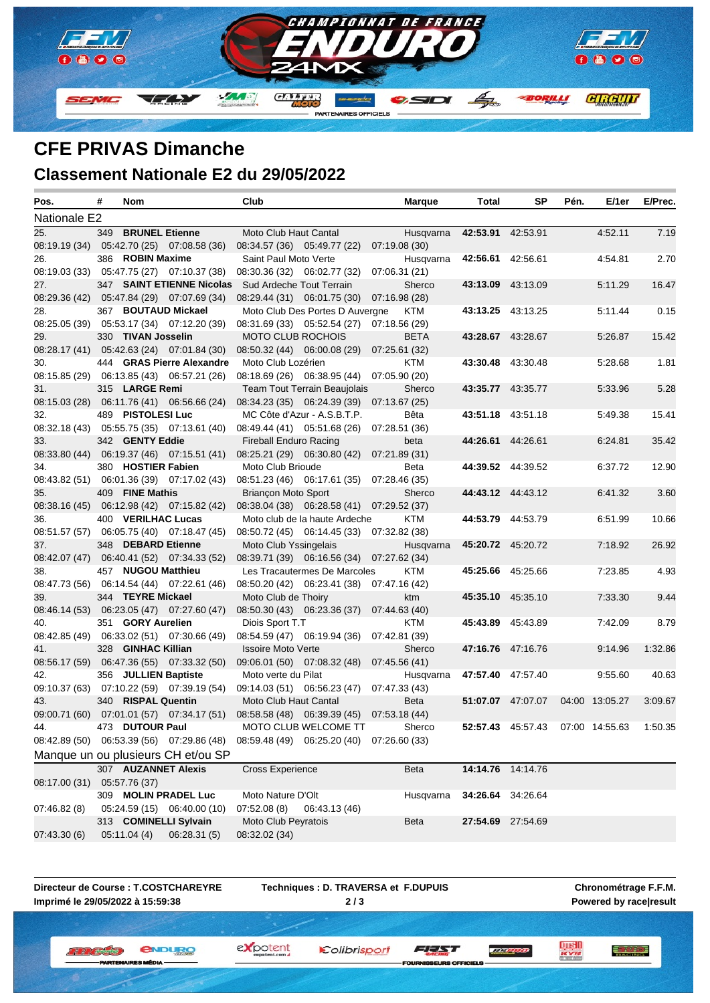

# **CFE PRIVAS Dimanche**

#### **Classement Nationale E2 du 29/05/2022**

| Pos.          | # | Nom                  |                                             | Club                          |                                                                           | <b>Marque</b> | Total | SP                | Pén. | E/1er          | E/Prec. |
|---------------|---|----------------------|---------------------------------------------|-------------------------------|---------------------------------------------------------------------------|---------------|-------|-------------------|------|----------------|---------|
| Nationale E2  |   |                      |                                             |                               |                                                                           |               |       |                   |      |                |         |
| 25.           |   | 349 BRUNEL Etienne   |                                             | Moto Club Haut Cantal         |                                                                           | Husqvarna     |       | 42:53.91 42:53.91 |      | 4:52.11        | 7.19    |
|               |   |                      | 08:19.19 (34) 05:42.70 (25) 07:08.58 (36)   |                               | 08:34.57 (36) 05:49.77 (22) 07:19.08 (30)                                 |               |       |                   |      |                |         |
| 26.           |   | 386 ROBIN Maxime     |                                             | Saint Paul Moto Verte         |                                                                           | Husqvarna     |       | 42:56.61 42:56.61 |      | 4:54.81        | 2.70    |
|               |   |                      | 08:19.03 (33) 05:47.75 (27) 07:10.37 (38)   |                               | 08:30.36 (32) 06:02.77 (32) 07:06.31 (21)                                 |               |       |                   |      |                |         |
| 27.           |   |                      | 347 SAINT ETIENNE Nicolas                   | Sud Ardeche Tout Terrain      |                                                                           | Sherco        |       | 43:13.09 43:13.09 |      | 5:11.29        | 16.47   |
|               |   |                      | 08:29.36 (42) 05:47.84 (29) 07:07.69 (34)   |                               | 08:29.44 (31) 06:01.75 (30) 07:16.98 (28)                                 |               |       |                   |      |                |         |
| 28.           |   |                      | 367 BOUTAUD Mickael                         |                               | Moto Club Des Portes D Auvergne                                           | KTM           |       | 43:13.25 43:13.25 |      | 5.11.44        | 0.15    |
|               |   |                      | 08:25.05 (39) 05:53.17 (34) 07:12.20 (39)   |                               | 08:31.69 (33) 05:52.54 (27) 07:18.56 (29)                                 |               |       |                   |      |                |         |
| 29.           |   | 330 TIVAN Josselin   |                                             | <b>MOTO CLUB ROCHOIS</b>      |                                                                           | <b>BETA</b>   |       | 43:28.67 43:28.67 |      | 5.26.87        | 15.42   |
|               |   |                      | 08:28.17 (41) 05:42.63 (24) 07:01.84 (30)   |                               | 08:50.32 (44) 06:00.08 (29) 07:25.61 (32)                                 |               |       |                   |      |                |         |
| 30.           |   |                      | 444 GRAS Pierre Alexandre                   | Moto Club Lozérien            |                                                                           | KTM           |       | 43:30.48 43:30.48 |      | 5:28.68        | 1.81    |
|               |   |                      | 08:15.85 (29) 06:13.85 (43) 06:57.21 (26)   |                               | 08:18.69 (26) 06:38.95 (44) 07:05.90 (20)                                 |               |       |                   |      |                |         |
| 31.           |   | 315 LARGE Remi       |                                             |                               | Team Tout Terrain Beaujolais                                              | Sherco        |       | 43:35.77 43:35.77 |      | 5.33.96        | 5.28    |
|               |   |                      | 08:15.03 (28) 06:11.76 (41) 06:56.66 (24)   |                               | 08:34.23 (35) 06:24.39 (39) 07:13.67 (25)                                 |               |       |                   |      |                |         |
| 32.           |   | 489 PISTOLESI Luc    |                                             |                               | MC Côte d'Azur - A.S.B.T.P.                                               | Bêta          |       | 43:51.18 43:51.18 |      | 5:49.38        | 15.41   |
|               |   |                      | 08:32.18 (43) 05:55.75 (35) 07:13.61 (40)   |                               | 08:49.44 (41) 05:51.68 (26) 07:28.51 (36)                                 |               |       |                   |      |                |         |
| 33.           |   | 342 GENTY Eddie      |                                             | <b>Fireball Enduro Racing</b> |                                                                           | beta          |       | 44:26.61 44:26.61 |      | 6:24.81        | 35.42   |
|               |   |                      | 08:33.80 (44)  06:19.37 (46)  07:15.51 (41) |                               | 08:25.21 (29) 06:30.80 (42) 07:21.89 (31)                                 |               |       |                   |      |                |         |
| 34.           |   | 380 HOSTIER Fabien   |                                             | Moto Club Brioude             |                                                                           | Beta          |       | 44:39.52 44:39.52 |      | 6:37.72        | 12.90   |
|               |   |                      | 08:43.82 (51) 06:01.36 (39) 07:17.02 (43)   |                               | 08:51.23 (46) 06:17.61 (35) 07:28.46 (35)                                 |               |       |                   |      |                |         |
| 35.           |   | 409 FINE Mathis      |                                             | <b>Briancon Moto Sport</b>    |                                                                           | Sherco        |       | 44:43.12 44:43.12 |      | 6:41.32        | 3.60    |
|               |   |                      | 08:38.16 (45) 06:12.98 (42) 07:15.82 (42)   |                               | 08:38.04 (38) 06:28.58 (41) 07:29.52 (37)                                 |               |       |                   |      |                |         |
| 36.           |   | 400 VERILHAC Lucas   |                                             |                               | Moto club de la haute Ardeche                                             | <b>KTM</b>    |       | 44:53.79 44:53.79 |      | 6:51.99        | 10.66   |
|               |   |                      | 08:51.57 (57) 06:05.75 (40) 07:18.47 (45)   |                               | 08:50.72 (45) 06:14.45 (33) 07:32.82 (38)                                 |               |       |                   |      |                |         |
| 37.           |   | 348 DEBARD Etienne   |                                             | Moto Club Yssingelais         |                                                                           | Husqvarna     |       | 45:20.72 45:20.72 |      | 7:18.92        | 26.92   |
| 38.           |   | 457 NUGOU Matthieu   | 08:42.07 (47)  06:40.41 (52)  07:34.33 (52) |                               | 08:39.71 (39) 06:16.56 (34) 07:27.62 (34)<br>Les Tracautermes De Marcoles | KTM           |       | 45:25.66 45:25.66 |      | 7:23.85        | 4.93    |
|               |   |                      | 08:47.73 (56) 06:14.54 (44) 07:22.61 (46)   |                               | 08:50.20 (42) 06:23.41 (38) 07:47.16 (42)                                 |               |       |                   |      |                |         |
| 39.           |   | 344 TEYRE Mickael    |                                             | Moto Club de Thoiry           |                                                                           | ktm           |       | 45:35.10 45:35.10 |      | 7:33.30        | 9.44    |
|               |   |                      | 08:46.14 (53) 06:23.05 (47) 07:27.60 (47)   |                               | 08:50.30 (43) 06:23.36 (37) 07:44.63 (40)                                 |               |       |                   |      |                |         |
| 40.           |   | 351 GORY Aurelien    |                                             | Diois Sport T.T               |                                                                           | KTM           |       | 45:43.89 45:43.89 |      | 7:42.09        | 8.79    |
|               |   |                      | 08:42.85 (49) 06:33.02 (51) 07:30.66 (49)   |                               | 08:54.59 (47) 06:19.94 (36) 07:42.81 (39)                                 |               |       |                   |      |                |         |
| 41.           |   | 328 GINHAC Killian   |                                             | <b>Issoire Moto Verte</b>     |                                                                           | Sherco        |       | 47:16.76 47:16.76 |      | 9:14.96        | 1:32.86 |
|               |   |                      | 08:56.17 (59) 06:47.36 (55) 07:33.32 (50)   |                               | 09:06.01 (50) 07:08.32 (48) 07:45.56 (41)                                 |               |       |                   |      |                |         |
| 42.           |   | 356 JULLIEN Baptiste |                                             | Moto verte du Pilat           |                                                                           | Husqvarna     |       | 47:57.40 47:57.40 |      | 9:55.60        | 40.63   |
|               |   |                      | 09:10.37 (63) 07:10.22 (59) 07:39.19 (54)   |                               | 09:14.03 (51) 06:56.23 (47) 07:47.33 (43)                                 |               |       |                   |      |                |         |
| 43.           |   | 340 RISPAL Quentin   |                                             | Moto Club Haut Cantal         |                                                                           | Beta          |       | 51:07.07 47:07.07 |      | 04:00 13:05.27 | 3:09.67 |
|               |   |                      | 09:00.71 (60) 07:01.01 (57) 07:34.17 (51)   |                               | 08:58.58 (48) 06:39.39 (45) 07:53.18 (44)                                 |               |       |                   |      |                |         |
| 44.           |   | 473 DUTOUR Paul      |                                             |                               | MOTO CLUB WELCOME TT                                                      | Sherco        |       | 52:57.43 45:57.43 |      | 07:00 14:55.63 | 1:50.35 |
|               |   |                      | 08:42.89 (50) 06:53.39 (56) 07:29.86 (48)   |                               | 08:59.48 (49) 06:25.20 (40) 07:26.60 (33)                                 |               |       |                   |      |                |         |
|               |   |                      | Manque un ou plusieurs CH et/ou SP          |                               |                                                                           |               |       |                   |      |                |         |
|               |   |                      | 307 AUZANNET Alexis                         | <b>Cross Experience</b>       |                                                                           | Beta          |       | 14:14.76 14:14.76 |      |                |         |
| 08:17.00 (31) |   | 05:57.76 (37)        |                                             |                               |                                                                           |               |       |                   |      |                |         |
|               |   |                      | 309 MOLIN PRADEL Luc                        | Moto Nature D'Olt             |                                                                           | Husqvarna     |       | 34:26.64 34:26.64 |      |                |         |
| 07:46.82 (8)  |   |                      | 05:24.59 (15) 06:40.00 (10)                 | 07:52.08 (8)                  | 06:43.13 (46)                                                             |               |       |                   |      |                |         |
|               |   |                      | 313 COMINELLI Sylvain                       | Moto Club Peyratois           |                                                                           | Beta          |       | 27:54.69 27:54.69 |      |                |         |
| 07:43.30 (6)  |   | 05:11.04 (4)         | 06:28.31(5)                                 | 08:32.02 (34)                 |                                                                           |               |       |                   |      |                |         |

**Directeur de Course : T.COSTCHAREYRE Imprimé le 29/05/2022 à 15:59:38**

**PARTEM** 

**Techniques : D. TRAVERSA et F.DUPUIS 2 / 3**

Colibrisport

**Chronométrage F.F.M. Powered by race|result**

三方學學

**LUISH**<br>Acres

*<u>ENDURO</u>* **II II (Breaster)** 

ES MÉDIA

expotent

SEURS OFFICIELS

FEAT

**TELEVISIO**